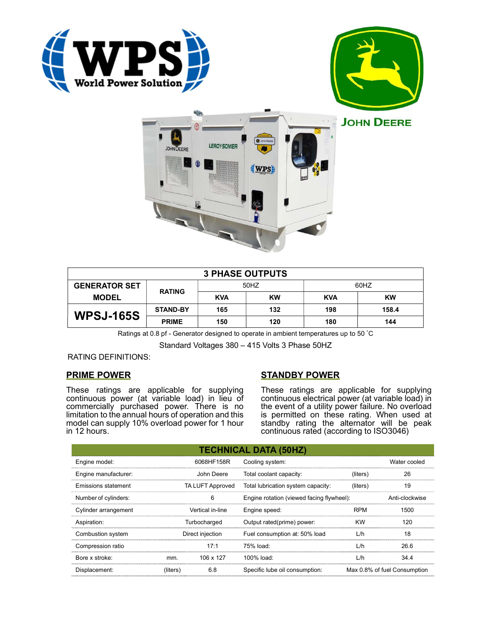





|                      |                 |            | <b>3 PHASE OUTPUTS</b> |            |           |
|----------------------|-----------------|------------|------------------------|------------|-----------|
| <b>GENERATOR SET</b> | <b>RATING</b>   | 50HZ       |                        | 60HZ       |           |
| <b>MODEL</b>         |                 | <b>KVA</b> | <b>KW</b>              | <b>KVA</b> | <b>KW</b> |
| <b>WPSJ-165S</b>     | <b>STAND-BY</b> | 165        | 132                    | 198        | 158.4     |
|                      | <b>PRIME</b>    | 150        | 120                    | 180        | 144       |

Ratings at 0.8 pf - Generator designed to operate in ambient temperatures up to 50 °C

Standard Voltages 380 – 415 Volts 3 Phase 50HZ

## RATING DEFINITIONS:

## PRIME POWER

These ratings are applicable for supplying continuous power (at variable load) in lieu of commercially purchased power. There is no limitation to the annual hours of operation and this model can supply 10% overload power for 1 hour in 12 hours.

# STANDBY POWER

These ratings are applicable for supplying continuous electrical power (at variable load) in the event of a utility power failure. No overload is permitted on these rating. When used at standby rating the alternator will be peak continuous rated (according to ISO3046)

|                            |                  |                                           | <b>TECHNICAL DATA (50HZ)</b>       |                |                              |
|----------------------------|------------------|-------------------------------------------|------------------------------------|----------------|------------------------------|
| Engine model:              |                  | 6068HF158R                                | Cooling system:                    |                | Water cooled                 |
| Engine manufacturer:       | John Deere       |                                           | Total coolant capacity:            | (liters)       | 26                           |
| <b>Emissions statement</b> | TA LUFT Approved |                                           | Total lubrication system capacity: | (liters)       | 19                           |
| Number of cylinders:<br>6  |                  | Engine rotation (viewed facing flywheel): |                                    | Anti-clockwise |                              |
| Cylinder arrangement       | Vertical in-line |                                           | Engine speed:                      | <b>RPM</b>     | 1500                         |
| Aspiration:                | Turbocharged     |                                           | Output rated(prime) power:         | <b>KW</b>      | 120                          |
| Combustion system          | Direct injection |                                           | Fuel consumption at: 50% load      | L/h            | 18                           |
| Compression ratio          |                  | 17:1                                      | 75% load:                          | L/h            | 26.6                         |
| Bore x stroke:             | mm.              | 106 x 127                                 | 100% load:                         | L/h            | 34.4                         |
| Displacement:              | (liters)         | 6.8                                       | Specific lube oil consumption:     |                | Max 0.8% of fuel Consumption |